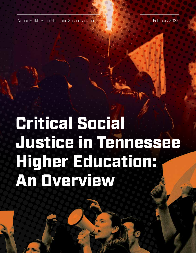Arthur Milikh, Anna Miller and Susan Kaestner February 2022 - February 202

# Critical Social Justice in Tennessee Higher Education: An Overview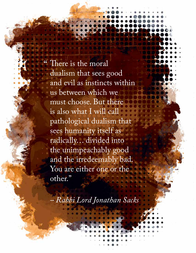There is the moral dualism that sees good and evil as instincts within us between which we must choose. But there is also what I will call pathological dualism that sees humanity itself as radically… divided into the unimpeachably good and the irredeemably bad. You are either one or the other."

*– Rabbi Lord Jonathan Sacks*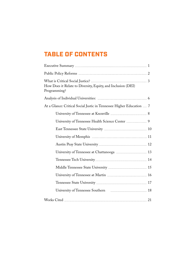## TABLE OF CONTENTS

| How Does it Relate to Diversity, Equity, and Inclusion (DEI)<br>Programming? |
|------------------------------------------------------------------------------|
|                                                                              |
| At a Glance: Critical Social Justic in Tennessee Higher Education  7         |
|                                                                              |
|                                                                              |
|                                                                              |
|                                                                              |
|                                                                              |
| University of Tennessee at Chattanooga  13                                   |
|                                                                              |
|                                                                              |
|                                                                              |
|                                                                              |
|                                                                              |
|                                                                              |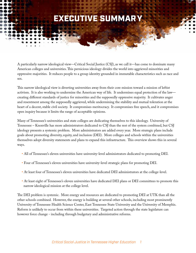# **EXECUTIVE SUMMAR**

A particularly narrow ideological view—Critical Social Justice (CSJ), as we call it—has come to dominate many American colleges and universities. This pernicious ideology divides the world into aggrieved minorities and oppressive majorities. It reduces people to a group identity grounded in immutable characteristics such as race and sex.

This narrow ideological view is diverting universities away from their core mission toward a mission of leftist activism. It is also working to undermine the American way of life. It undermines equal protection of the law creating different standards of justice for minorities and the supposedly oppressive majority. It cultivates anger and resentment among the supposedly aggrieved, while undermining the stability and mutual toleration at the heart of a decent, stable civil society. It compromises meritocracy. It compromises free speech, and it compromises open inquiry because it limits the range of acceptable opinions.

Many of Tennessee's universities and state colleges are dedicating themselves to this ideology. University of Tennessee – Knoxville has more administrators dedicated to CSJ than the rest of the system combined, but CSJ ideology presents a systemic problem. More administrators are added every year. More strategic plans include goals about promoting diversity, equity, and inclusion (DEI). More colleges and schools within the universities themselves adopt diversity statements and plans to expand this infrastructure. This overview shows this in several ways.

- All of Tennessee's eleven universities have university-level administrators dedicated to promoting DEI.
- Four of Tennessee's eleven universities have university-level strategic plans for promoting DEI.
- At least four of Tennessee's eleven universities have dedicated DEI administrators at the college-level.
- At least eight of Tennessee's eleven universities have dedicated DEI plans or DEI committees to promote this narrow ideological mission at the college level.

The DEI problem is systemic. More energy and resources are dedicated to promoting DEI at UTK than all the other schools combined. However, the energy is building at several other schools, including most prominently University of Tennessee Health Science Center, East Tennessee State University and the University of Memphis. Reform is unlikely to occur from within these universities. Targeted action through the state legislature can however force change - including through budgetary and administrative reforms.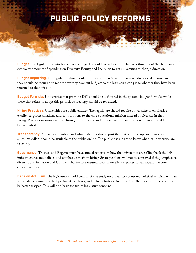# PUBLIC POLICY REFORMS

**Budget.** The legislature controls the purse strings. It should consider cutting budgets throughout the Tennessee system by amounts of spending on Diversity, Equity, and Inclusion to get universities to change direction.

**Budget Reporting.** The legislature should order universities to return to their core educational mission and they should be required to report how they have cut budgets so the legislature can judge whether they have been returned to that mission.

**Budget Formula.** Universities that promote DEI should be disfavored in the system's budget formula, while those that refuse to adopt this pernicious ideology should be rewarded.

**Hiring Practices.** Universities are public entities. The legislature should require universities to emphasize excellence, professionalism, and contributions to the core educational mission instead of diversity in their hiring. Practices inconsistent with hiring for excellence and professionalism and the core mission should be proscribed.

**Transparency.** All faculty members and administrators should post their vitas online, updated twice a year, and all course syllabi should be available to the public online. The public has a right to know what its universities are teaching.

**Governance.** Trustees and Regents must have annual reports on how the universities are rolling back the DEI infrastructures and policies and emphasize merit in hiring. Strategic Plans will not be approved if they emphasize diversity and inclusion and fail to emphasize race-neutral ideas of excellence, professionalism, and the core educational mission.

**Bans on Activism.** The legislature should commission a study on university sponsored political activism with an aim of determining which departments, colleges, and policies foster activism so that the scale of the problem can be better grasped. This will be a basis for future legislative concerns.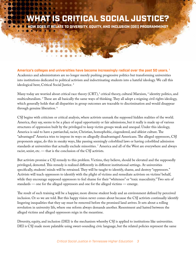# RITICAL SOCIAL JUSTICE?

OW DOES IT RELATE TO DIVERSITY, EQUITY, AND INCLUSION (DEI) PROGRAMMING?

**America's colleges and universities have become increasingly radical over the past 50 years. 1** Academics and administrators are no longer merely pushing progressive politics but transforming universities into institutions dedicated to political activism and indoctrinating students into a hateful ideology. We call this ideological bent, Critical Social Justice. 2

Many today are worried about critical race theory (CRT), $^3$  critical theory, cultural Marxism,  $^4$  identity politics, and multiculturalism. 5 These are all basically the same ways of thinking. They all adopt a reigning civil rights ideology, which generally holds that all disparities in group outcomes are traceable to discrimination and would disappear through genuine liberation. 6

CSJ begins with criticism or critical analysis, where activists unmask the supposed hidden realities of the world. America, they say, seems to be a place of equal opportunity or fair admissions, but it really is made up of various structures of oppression built by the privileged to keep victim groups weak and unequal. Under this ideology, America is said to have a patriarchal, racist, Christian, homophobic, cisgendered, and ableist culture. The "advantaged" America tries to impose its ways on allegedly disadvantaged Americans. The alleged oppressors, CSJ proponents argue, do this in sneaky ways, like passing seemingly colorblind laws or having colorblind admission standards at universities that actually exclude minorities. 7 America and all of the West are everywhere and always racist, sexist, etc. — that is the conclusion of the CSJ activists.

But activists promise a CSJ remedy to this problem. Victims, they believe, should be elevated and the supposedly privileged, demoted. This remedy is realized differently in different institutional settings. At universities specifically, students' minds will be retrained. They will be taught to identify, shame, and destroy "oppressors." Activists will teach oppressors to identify with the plight of victims and remediate activism on victims' behalf, while they encourage supposed oppressors to feel shame for their "whiteness" or "toxic masculinity." Two sets of standards — one for the alleged oppressors and one for the alleged victims — emerge.

The result of such training will be a happier, more diverse student body and an environment defined by perceived inclusion. Or so we are told. But this happy vision never comes about because the CSJ activists continually identify lingering inequalities that they say must be removed before the promised land arrives. It sets about a rolling revolution in university life, where one reform always demands another. Resentment and hatred between the alleged victims and alleged oppressors reign in the meantime.

Diversity, equity, and inclusion (DEI) is the mechanism whereby CSJ is applied to institutions like universities. DEI is CSJ made more palatable using sweet-sounding civic language, but the related policies represent the same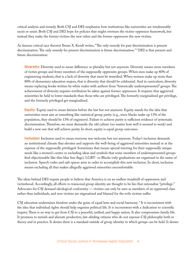critical analysis and remedy. Both CSJ and DEI emphasize how institutions like universities are irredeemably racist or sexist. Both CSJ and DEI hope for policies that might overturn the victim-oppressor framework, but instead they make the former victims the new rulers and the former oppressors the new victims.

As famous critical race theorist Ibram X. Kendi writes, "The only remedy for past discrimination is present discrimination. The only remedy for present discrimination is future discrimination." 8 DEI is that present and future discrimination:

**Diversity:** Diversity used to mean difference or plurality but not anymore. Diversity means more members of victim groups and fewer members of the supposedly oppressive groups. When men make up 80% of engineering students, that is a lack of diversity that must be remedied. When women make up more than 80% of elementary education majors, that is diversity that should be celebrated. And in curriculum, diversity means replacing books written by white males with authors from "historically underrepresented" groups. The achievement of diversity requires retribution be taken against former oppressors. It requires that aggrieved minorities be held to lower standards than those who are privileged. The formerly marginalized get privilege, and the formerly privileged get marginalized.

**Equity:** Equity used to mean fairness before the law but not anymore. Equity stands for the idea that universities must aim at something like statistical group parity (e.g., since blacks make up 13% of the population, they should be 13% of engineers). Failure to achieve parity is sufficient evidence of systematic discrimination. Therefore, we must dismantle the old culture (no matter how well it seemed to work) and build a new one that will achieve parity. In short, equity is equal group outcomes.

**Inclusion:** Inclusion used to mean everyone was welcome but not anymore. Today's inclusion demands an institutional climate that elevates and supports the well-being of aggrieved minorities instead or at the expense of the supposedly privileged. Sometimes that means special tutoring for their supposedly unique needs like a women's center or excluding ideas and symbols that some members of underrepresented groups find objectionable like thin blue line flags). LGBT- or Blacks-only graduations are organized in the name of inclusion. Speech codes and safe spaces arise in order to accomplish this new inclusion. In short, inclusion means excluding all that makes allegedly aggrieved minorities uncomfortable.

The ideas behind DEI require people to believe that America is on an endless treadmill of oppression and victimhood. Accordingly, all efforts to transcend group identity are thought to be lies that rationalize "privilege." Advocates for CSJ demand ideological conformity — victims can only be seen as members of an oppressed class rather than individuals, and non-victims are stigmatized and blamed for the evils victims suffer.

CSJ education undermines freedom under the guise of equal laws and social harmony. 9 It is inconsistent with the idea that individual rights should help organize political life. It is inconsistent with a dedication to scientific inquiry. There is no way to get from CSJ to a peaceful, unified, and happy nation. It also compromises family life. It promises to tarnish and alienate productive, law-abiding citizens who do not espouse CSJ philosophy both in theory and in practice. It denies there is a standard outside of group identity to which groups can be held. It denies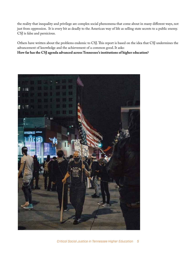the reality that inequality and privilege are complex social phenomena that come about in many different ways, not just from oppression. It is every bit as deadly to the American way of life as selling state secrets to a public enemy. CSJ is false and pernicious.

Others have written about the problems endemic to CSJ. This report is based on the idea that CSJ undermines the advancement of knowledge and the achievement of a common good. It asks: **How far has the CSJ agenda advanced across Tennessee's institutions of higher education?**

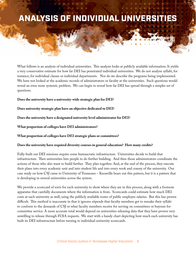# ANALYSIS OF INDIVIDUAL UNIVERSITIES

What follows is an analysis of individual universities. This analysis looks at publicly available information. It yields a very conservative estimate for how far DEI has penetrated individual universities. We do not analyze syllabi, for instance, for individual classes or individual departments. Nor do we describe the programs being implemented. We have not looked at the academic records of administrators or faculty at the universities. Such questions would reveal an even more systemic problem. We can begin to reveal how far DEI has spread through a simpler set of questions.

**Does the university have a university-wide strategic plan for DEI?**

**Does university strategic plan have an objective dedicated to DEI?**

**Does the university have a designated university level administrator for DEI?**

**What proportion of colleges have DEI administrators?**

**What proportion of colleges have DEI strategic plans or committees?**

#### **Does the university have required diversity courses in general education? How many credits?**

Fully-built out DEI missions require some bureaucratic infrastructure. Universities decide to build that infrastructure. Then universities hire people to do further building. And then those administrators coordinate the actions of those who also want to build further. They plan together. And, at the end of the process, they execute their plans into every academic unit and into student life and into every nook and cranny of the university. Our case study on how CSJ came to University of Tennessee – Knoxville bears out this pattern, but it is a pattern that is developing in several universities across the system.

We provide a scorecard of sorts for each university to show where they are in this process, along with a footnote apparatus that carefully documents where the information is from. Scorecards could estimate how much DEI costs at each university as well, using the publicly available roster of public employee salaries. But this has proven difficult. This method is inaccurate in that it ignores stipends that faculty members get to remake their syllabi to conform to the demands of CSJ or what faculty members receive for serving on committees or buyouts for committee service. A more accurate total would depend on universities releasing data that they have proven very unwilling to release through FOIA requests. We start with a handy chart depicting how much each university has built its DEI infrastructure before turning to individual university scorecards.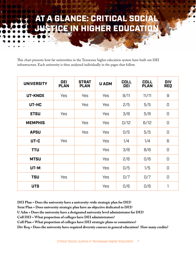# **A GLANCE: CRITICAL SOCIA CE IN HIGHER EDUCATIO**

This chart presents how far universities in the Tennessee higher education system have built out DEI infrastructure. Each university is then analyzed individually in the pages that follow.

| <b>UNIVERSITY</b> | <b>DEI</b><br><b>PLAN</b> | <b>STRAT</b><br><b>PLAN</b> | <b>U ADM</b> | <b>COLL</b><br><b>DEI</b> | <b>COLL</b><br><b>PLAN</b> | <b>DIV</b><br><b>REQ</b>               |
|-------------------|---------------------------|-----------------------------|--------------|---------------------------|----------------------------|----------------------------------------|
| UT-KNOX           | <b>Yes</b>                | <b>Yes</b>                  | <b>Yes</b>   | 9/11                      | 11/11                      | 9                                      |
| UT-HC             |                           | <b>Yes</b>                  | <b>Yes</b>   | 2/5                       | 5/5                        | $\begin{array}{c} \square \end{array}$ |
| <b>ETSU</b>       | <b>Yes</b>                |                             | <b>Yes</b>   | 3/8                       | 5/8                        | $\Box$                                 |
| <b>MEMPHIS</b>    |                           | Yes                         | Yes          | 0/12                      | 6/12                       | $\begin{array}{c} \square \end{array}$ |
| <b>APSU</b>       |                           | Yes                         | Yes          | 0/5                       | 5/5                        | $\Box$                                 |
| UT-C              | <b>Yes</b>                |                             | Yes          | 1/4                       | 1/4                        | 6                                      |
| <b>TTU</b>        |                           |                             | Yes          | 3/8                       | 8/8                        | $\Box$                                 |
| <b>MTSU</b>       |                           |                             | Yes          | 2/6                       | 0/6                        | $\begin{array}{c} \square \end{array}$ |
| UT-M              |                           |                             | Yes          | 0/5                       | 1/5                        | $\begin{array}{c} \square \end{array}$ |
| <b>TSU</b>        | <b>Yes</b>                |                             | <b>Yes</b>   | 0/7                       | 0/7                        | 0                                      |
| <b>UTS</b>        |                           |                             | Yes          | 0/6                       | 0/6                        | 1                                      |

**DEI Plan = Does the university have a university-wide strategic plan for DEI?**

**Strat Plan = Does university strategic plan have an objective dedicated to DEI?**

**U Adm = Does the university have a designated university level administrator for DEI?**

**Coll DEI = What proportion of colleges have DEI administrators?**

**Coll Plan = What proportion of colleges have DEI strategic plans or committees?**

**Div Req = Does the university have required diversity courses in general education? How many credits?**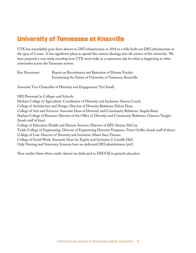#### University of Tennessee at Knoxville

UTK has remarkably gone from almost no DEI infrastructure in 2018 to a fully built-out DEI infrastructure in the span of 4 years. It has significant plans to spread this narrow ideology into all corners of the university. We have prepared a case study revealing how UTK went woke as a cautionary tale for what is happening at other universities across the Tennessee system.

| Key Document: | Report on Recruitment and Retention of Diverse Faculty.       |
|---------------|---------------------------------------------------------------|
|               | Envisioning the Future of University of Tennessee, Knoxville. |

Associate Vice Chancellor of Diversity and Engagement: Tyvi Small.

DEI Personnel in Colleges and Schools: Herbert College of Agriculture: Coordinator of Diversity and Inclusion: Sharon Couch. College of Architecture and Design: Director of Diversity Relations: Felicia Dean. College of Arts and Sciences: Associate Dean of Diversity and Community Relations: Angela Batey Haslam College of Business: Director of the Office of Diversity and Community Relations: Clarence Vaughn (heads staff of four). College of Education Health and Human Services: Director of DEI: Dorion McCoy. Tickle College of Engineering: Director of Engineering Diversity Programs: Travis Griffin (heads staff of three). College of Law: Director of Diversity and Inclusion: Maria Saez-Tatman. College of Social Work: Associate Dean for Equity and Inclusion: J. Camille Hall. Only Nursing and Veterinary Sciences have no dedicated DEI administrator (yet!).

Nine credits (three-three credit classes) are dedicated to DEI/CSJ in general education.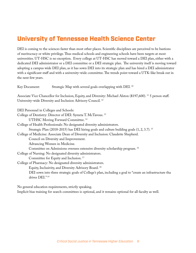#### University of Tennessee Health Science Center

DEI is coming to the sciences faster than most other places. Scientific disciplines are perceived to be bastions of meritocracy or white privilege. Thus medical schools and engineering schools have been targets at most universities. UT-HSC is no exception. Every college at UT-HSC has moved toward a DEI plan, either with a dedicated DEI administrator or a DEI committee or a DEI strategic plan. The university itself is moving toward adopting a campus wide DEI plan, as it has sown DEI into its strategic plan and has hired a DEI administrator with a significant staff and with a university-wide committee. The trends point toward a UTK-like break out in the next few years.

Key Document: Strategic Map with several goals overlapping with DEI.<sup>10</sup>

Associate Vice Chancellor for Inclusion, Equity, and Diversity: Michael Alston (\$197,600). 11 5 person staff. University-wide Diversity and Inclusion Advisory Council. 12

DEI Personnel in Colleges and Schools:

College of Dentistry: Director of DEI: Syreeta T. McTavous. 13

UTHSC Moving Forward Committee. 14

College of Health Professionals: No designated diversity administrators. Strategic Plan (2018-2015) has DEI hiring goals and culture building goals (1, 2, 3.7). 15 College of Medicine: Associate Dean of Diversity and Inclusion: Claudette Shepherd.

Council on Diversity and Improvement.

Advancing Women in Medicine.

Committee on Admissions oversees extensive diversity scholarship program. 16

College of Nursing: No designated diversity administrators.

Committee for Equity and Inclusion. 17

College of Pharmacy: No designated diversity administrators.

Equity, Inclusivity, and Diversity Advisory Board. 18

 DEI sown into three strategic goals of College's plan, including a goal to "create an infrastructure tha drives DEI." 19

No general education requirements, strictly speaking.

Implicit bias training for search committees is optional, and it remains optional for all faculty as well.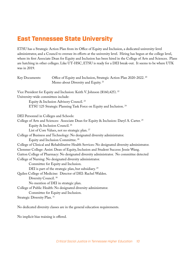#### East Tennessee State University

ETSU has a Strategic Action Plan from its Office of Equity and Inclusion, a dedicated university-level administrator, and a Council to oversee its efforts at the university level. Hiring has begun at the college level, where its first Associate Dean for Equity and Inclusion has been hired in the College of Arts and Sciences. Plans are hatching in other colleges. Like UT-HSC, ETSU is ready for a DEI break-out. It seems to be where UTK was in 2019.

| Key Documents:                         | Office of Equity and Inclusion, Strategic Action Plan 2020-2022. <sup>20</sup><br>Memo about Diversity and Equity. <sup>21</sup> |
|----------------------------------------|----------------------------------------------------------------------------------------------------------------------------------|
|                                        | Vice President for Equity and Inclusion: Keith V. Johnson (\$160,425). <sup>22</sup>                                             |
| University-wide committees include:    |                                                                                                                                  |
|                                        | Equity & Inclusion Advisory Council. <sup>23</sup>                                                                               |
|                                        | ETSU 125 Strategic Planning Task Force on Equity and Inclusion. <sup>24</sup>                                                    |
| DEI Personnel in Colleges and Schools: |                                                                                                                                  |
|                                        | College of Arts and Sciences: Associate Dean for Equity & Inclusion: Daryl A. Carter. <sup>25</sup>                              |
|                                        | Equity & Inclusion Council. <sup>26</sup>                                                                                        |
|                                        | List of Core Values, not no strategic plan. <sup>27</sup>                                                                        |
|                                        | College of Business and Technology: No designated diversity administrator.                                                       |
|                                        | Equity and Inclusion Committee. <sup>28</sup>                                                                                    |
|                                        | College of Clinical and Rehabilitative Health Services: No designated diversity administrator.                                   |
|                                        | Clemmer College: Assist. Dean of Equity, Inclusion and Student Success: Jessie Wang.                                             |
|                                        | Gatton College of Pharmacy: No designated diversity administrator. No committee detected                                         |
|                                        | College of Nursing: No designated diversity administrator.                                                                       |
|                                        | Committee for Equity and Inclusion.                                                                                              |
|                                        | DEI is part of the strategic plan, but subsidiary. <sup>29</sup>                                                                 |
|                                        | Quilen College of Medicine: Director of DEI: Rachel Walden.                                                                      |
| Diversity Council. <sup>30</sup>       |                                                                                                                                  |
|                                        | No mention of DEI in strategic plan.                                                                                             |
|                                        | College of Public Health: No designated diversity administrator.                                                                 |
|                                        | Committee for Equity and Inclusion.                                                                                              |
| Strategic Diversity Plan. 31           |                                                                                                                                  |
|                                        |                                                                                                                                  |

No dedicated diversity classes are in the general education requirements.

No implicit bias training is offered.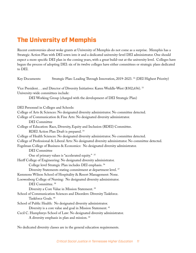## **The University of Memphis**

Recent controversies about woke grants at University of Memphis do not come as a surprise. Memphis has a Strategic Action Plan with DEI sown into it and a dedicated university-level DEI administrator. One should expect a more specific DEI plan in the coming years, with a great build-out at the university level. Colleges have begun the process of adopting DEI: six of its twelve colleges have either committees or strategic plans dedicated to DEI.

| Key Documents:                         | Strategic Plan: Leading Through Innovation, 2019-2023. <sup>32</sup> (DEI Highest Priority)           |
|----------------------------------------|-------------------------------------------------------------------------------------------------------|
|                                        | Vice President and Director of Diversity Initiatives: Karen Weddle-West (\$302,656). <sup>33</sup>    |
| University-wide committees include:    |                                                                                                       |
|                                        | DEI Working Group (charged with the development of DEI Strategic Plan)                                |
| DEI Personnel in Colleges and Schools: |                                                                                                       |
|                                        | College of Arts & Sciences: No designated diversity administrator. No committee detected.             |
|                                        | College of Communication & Fine Arts: No designated diversity administrator.                          |
| <b>DEI</b> Committee                   |                                                                                                       |
|                                        | College of Education: Race, Diversity, Equity and Inclusion (RDEI) Committee.                         |
|                                        | RDEI Action Plan Draft is prepared. <sup>34</sup>                                                     |
|                                        | College of Health Sciences: No designated diversity administrator. No committee detected.             |
|                                        | College of Professional & Liberal Arts: No designated diversity administrator. No committee detected. |
|                                        | Fogelman College of Business & Economics: No designated diversity administrator.                      |
| <b>DEI</b> Committee                   |                                                                                                       |
|                                        | One of primary values is "accelerated equity." 35                                                     |
|                                        | Herff College of Engineering: No designated diversity administrator.                                  |
|                                        | College level Strategic Plan includes DEI emphasis. <sup>36</sup>                                     |
|                                        | Diversity Statements stating commitment at department level. <sup>37</sup>                            |
|                                        | Kemmons Wilson School of Hospitality & Resort Management: None.                                       |
|                                        | Loewenberg College of Nursing: No designated diversity administrator.                                 |
| DEI Committee. <sup>38</sup>           |                                                                                                       |
|                                        | Diversity a Core Value in Mission Statement. <sup>39</sup>                                            |
|                                        | School of Communication Sciences and Disorders: Diversity Taskforce.                                  |
| Taskforce Goals. <sup>40</sup>         |                                                                                                       |
|                                        | School of Public Health: No designated diversity administrator.                                       |
|                                        | Diversity is a core value and goal in Mission Statement. <sup>41</sup>                                |
|                                        | Cecil C. Humphreys School of Law: No designated diversity administrator.                              |
|                                        | A diversity emphasis in plan and mission. <sup>42</sup>                                               |

No dedicated diversity classes are in the general education requirements.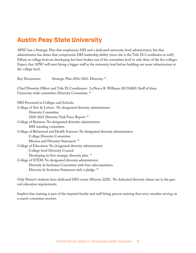## Austin Peay State University

APSU has a Strategic Plan that emphasizes DEI and a dedicated university-level administrator, but that administrator has duties that compromise DEI leadership ability (since she is the Title IX Coordinator as well). Efforts at college level are developing but have broken out of the committee level in only three of the five colleges. Expect that APSU will start hiring a bigger staff at the university level before building out more infrastructure at the college level.

| Strategic Plan 2016-2021: Diversity. 43<br>Key Documents:                                                                                                           |
|---------------------------------------------------------------------------------------------------------------------------------------------------------------------|
| Chief Diversity Officer and Title IX Coordinator: LeNeeca R. Williams (\$119,000). Staff of three.<br>University-wide committee: Diversity Committee. <sup>44</sup> |
|                                                                                                                                                                     |
| DEI Personnel in Colleges and Schools:                                                                                                                              |
| College of Arts & Letters: No designated diversity administrator.                                                                                                   |
| <b>Diversity Committee</b>                                                                                                                                          |
| 2020-2021 Diversity Task Force Report. <sup>45</sup>                                                                                                                |
| College of Business: No designated diversity administrator.                                                                                                         |
| DEI standing committee.                                                                                                                                             |
| College of Behavioral and Health Sciences: No designated diversity administrator.                                                                                   |
| <b>College Diversity Committee</b>                                                                                                                                  |
| Mission and Diversity Statement. <sup>46</sup>                                                                                                                      |
| College of Education: No designated diversity administrator.                                                                                                        |
| College-level Diversity Council                                                                                                                                     |
| Developing its first strategic diversity plan. <sup>47</sup>                                                                                                        |
| College of STEM: No designated diversity administrator.                                                                                                             |
| Diversity & Inclusion Committee with four subcommittees.                                                                                                            |
| Diversity & Inclusion Statement with a pledge. <sup>48</sup>                                                                                                        |

Only Honor's students have dedicated DEI course (Honors 2220). No dedicated diversity classes are in the general education requirements.

Implicit bias training is part of the required faculty and staff hiring process training that every member serving on a search committee receives.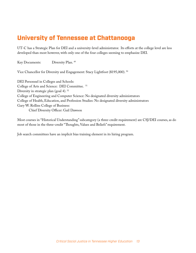#### University of Tennessee at Chattanooga

UT-C has a Strategic Plan for DEI and a university-level administrator. Its efforts at the college level are less developed than most however, with only one of the four colleges seeming to emphasize DEI.

Key Documents: Diversity Plan. 49

Vice Chancellor for Diversity and Engagement: Stacy Lightfoot (\$195,000). 50

DEI Personnel in Colleges and Schools: College of Arts and Science: DEI Committee. 51 Diversity in strategic plan (goal 4).<sup>52</sup> College of Engineering and Computer Science: No designated diversity administrators College of Health, Education, and Profession Studies: No designated diversity administrators Gary W. Rollins College of Business: Chief Diversity Officer: Gail Dawson

Most courses in "Historical Understanding" subcategory (a three-credit requirement) are CSJ/DEI courses, as do most of those in the three-credit "Thoughts, Values and Beliefs" requirement.

Job search committees have an implicit bias training element in its hiring program.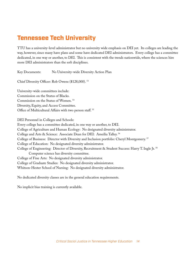#### Tennessee Tech University

TTU has a university-level administrator but no university wide emphasis on DEI yet. Its colleges are leading the way, however, since many have plans and some have dedicated DEI administrators. Every college has a committee dedicated, in one way or another, to DEI. This is consistent with the trends nationwide, where the sciences hire more DEI administrators than the soft disciplines.

Key Documents: No University-wide Diversity Action Plan

Chief Diversity Officer: Rob Owens (\$128,000). 53

University-wide committees include: Commission on the Status of Blacks. Commission on the Status of Women. 54 Diversity, Equity, and Access Committee. Office of Multicultural Affairs with two person staff. 55

DEI Personnel in Colleges and Schools:

Every college has a committee dedicated, in one way or another, to DEI. College of Agriculture and Human Ecology: No designated diversity administrator. College and Arts & Science: Associate Dean for DEI: Ameilia Talley. 56 College of Business: Director with Diversity and Inclusion portfolio: Cheryl Montgomery. 57 College of Education: No designated diversity administrator. College of Engineering: Director of Diversity, Recruitment & Student Success: Harry T. Ingle Jr. 58 Computer science has diversity committee. College of Fine Arts: No designated diversity administrator. College of Graduate Studies: No designated diversity administrator. Whitson-Hester School of Nursing: No designated diversity administrator.

No dedicated diversity classes are in the general education requirements.

No implicit bias training is currently available.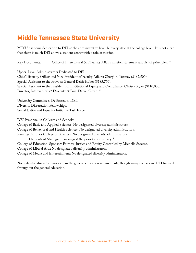#### Middle Tennessee State University

MTSU has some dedication to DEI at the administrative level, but very little at the college level. It is not clear that there is much DEI above a student center with a robust mission.

Key Documents: Office of Intercultural & Diversity Affairs mission statement and list of principles. 59

Upper-Level Administrators Dedicated to DEI: Chief Diversity Officer and Vice President of Faculty Affairs: Cheryl B. Torsney (\$162,500). Special Assistant to the Provost: General Keith Huber (\$185,770). Special Assistant to the President for Institutional Equity and Compliance: Christy Sigler (\$110,000). Director, Intercultural & Diversity Affairs: Daniel Green. 60

University Committees Dedicated to DEI. Diversity Dissertation Fellowships. Social Justice and Equality Initiative Task Force.

DEI Personnel in Colleges and Schools:

College of Basic and Applied Sciences: No designated diversity administrators.

College of Behavioral and Health Sciences: No designated diversity administrators.

Jennings A. Jones College of Business: No designated diversity administrators.

Elements of Strategic Plan suggest the priority of diversity. 61

College of Education: Sponsors Fairness, Justice and Equity Center led by Michelle Stevens.

College of Liberal Arts: No designated diversity administrators.

College of Media and Entertainment: No designated diversity administrators.

No dedicated diversity classes are in the general education requirements, though many courses are DEI focused throughout the general education.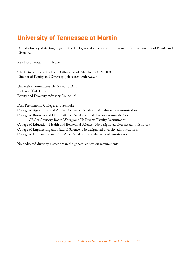#### University of Tennessee at Martin

UT-Martin is just starting to get in the DEI game, it appears, with the search of a new Director of Equity and Diversity.

Key Documents: None

Chief Diversity and Inclusion Officer: Mark McCloud (\$121,800) Director of Equity and Diversity: Job search underway. 62

University Committees Dedicated to DEI. Inclusion Task Force. Equity and Diversity Advisory Council. 63

DEI Personnel in Colleges and Schools:

College of Agriculture and Applied Sciences: No designated diversity administrators.

College of Business and Global affairs: No designated diversity administrators.

CBGA Advisory Board Workgroup II: Diverse Faculty Recruitment.

College of Education, Health and Behavioral Science: No designated diversity administrators. College of Engineering and Natural Science: No designated diversity administrators. College of Humanities and Fine Arts: No designated diversity administrators.

No dedicated diversity classes are in the general education requirements.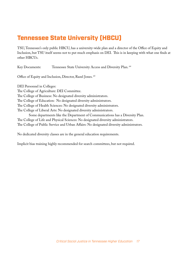## Tennessee State University (HBCU)

TSU, Tennessee's only public HBCU, has a university-wide plan and a director of the Office of Equity and Inclusion, but TSU itself seems not to put much emphasis on DEI. This is in keeping with what one finds at other HBCUs.

Key Documents: Tennessee State University Access and Diversity Plan. 64 Office of Equity and Inclusion, Director, Razel Jones. 65 DEI Personnel in Colleges: The College of Agriculture: DEI Committee. The College of Business: No designated diversity administrators. The College of Education: No designated diversity administrators. The College of Health Sciences: No designated diversity administrators. The College of Liberal Arts: No designated diversity administrators. Some departments like the Department of Communications has a Diversity Plan. The College of Life and Physical Sciences: No designated diversity administrators. The College of Public Service and Urban Affairs: No designated diversity administrators.

No dedicated diversity classes are in the general education requirements.

Implicit bias training highly recommended for search committees, but not required.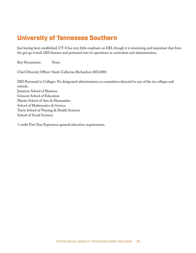#### University of Tennessee Southern

Just having been established, UT-S has very little emphasis on DEI, though it is interesting and important that from the get-go it built DEI features and personnel into its operations in curriculum and administration.

Key Documents: None.

Chief Diversity Officer: Sarah Catherine Richardson (\$52,000)

DEI Personnel in Colleges: No designated administrators or committees detected in any of the six colleges and schools. Jonnston School of Business Grissom School of Education Martin School of Arts & Humanities School of Mathematics & Science Travis School of Nursing & Health Sciences School of Social Sciences

1 credit First Year Experience general education requirements.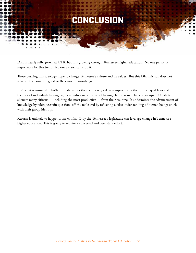

DEI is nearly fully grown at UTK, but it is growing through Tennessee higher education. No one person is responsible for this trend. No one person can stop it.

Those pushing this ideology hope to change Tennessee's culture and its values. But this DEI mission does not advance the common good or the cause of knowledge.

Instead, it is inimical to both. It undermines the common good by compromising the rule of equal laws and the idea of individuals having rights as individuals instead of having claims as members of groups. It tends to alienate many citizens — including the most productive — from their country. It undermines the advancement of knowledge by taking certain questions off the table and by reflecting a false understanding of human beings stuck with their group identity.

Reform is unlikely to happen from within. Only the Tennessee's legislature can leverage change in Tennessee higher education. This is going to require a concerted and persistent effort.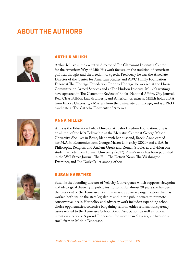## **ABOUT THE AUTHORS**



#### ARTHUR MILIKH

Arthur Milikh is the executive director of The Claremont Institute's Center for the American Way of Life. His work focuses on the tradition of American political thought and the freedom of speech. Previously, he was the Associate Director of the Center for American Studies and AWC Family Foundation Fellow at The Heritage Foundation. Prior to Heritage, he worked at the House Committee on Armed Services and at The Hudson Institute. Milikh's writings have appeared in The Claremont Review of Books, National Affairs, City Journal, Real Clear Politics, Law & Liberty, and American Greatness. Milikh holds a B.A. from Emory University, a Masters from the University of Chicago, and is a Ph.D. candidate at The Catholic University of America.



#### ANNA MILLER

Anna is the Education Policy Director at Idaho Freedom Foundation. She is an alumni of the MA Fellowship at the Mercatus Center at George Mason University. She lives in Boise, Idaho with her husband, Brock. Anna earned her M.A. in Economics from George Mason University (2020) and a B.A. in Philosophy, Religion, and Ancient Greek and Roman Studies as a division one student athlete from Furman University (2017). Anna's work has been published in the Wall Street Journal, The Hill, The Detroit News, The Washington Examiner, and The Daily Caller among others.



#### SUSAN KAESTNER

Susan is the founding director of Velocity Convergence which supports viewpoint and ideological diversity in public institutions. For almost 20 years she has been the president of the Tennessee Forum - an issue advocacy organization that has worked both inside the state legislature and in the public square to promote conservative ideals. Her policy and advocacy work includes: expanding school choice opportunities, collective bargaining reform, ethics reform, transparency issues related to the Tennessee School Board Association, as well as judicial retention elections. A proud Tennessean for more than 50 years, she lives on a small farm in Middle Tennessee.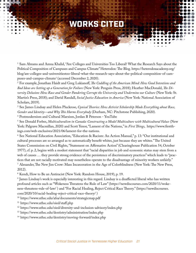## WORKS CITED

1 Sam Abrams and Amna Khalid, "Are Colleges and Universities Too Liberal? What the Research Says about the Political Composition of Campuses and Campus Climate" Heterodox: The Blog. https://heterodoxacademy.org/ blog/are-colleges-and-universitiestoo-liberal-what-the-research-says-about-the-political-composition-of-campuses-and-campus-climate/ (accessed December 2, 2020).

2 For example, Jonathan Haidt and Greg Lukianoff, *The Coddling of the American Mind: How Good Intentions and Bad Ideas are Setting up a Generation for Failure* (New York: Penguin Press, 2018); Heather MacDonald, *The Diversity Delusion: How Race and Gender Pandering Corrupt the University and Undermine our Culture* (New York: St. Martin's Press, 2018); and David Randall, *Social Justice Education in America* (New York: National Association of Scholars, 2019).

3 See James Lindsay and Helen Pluckrose, *Cynical Theories: How Activist Scholarship Made Everything about Race, Gender and Identity—and Why This Harms Everybody* (Durham, NC: Pitchstone Publishing, 2020).

4 Postmodernism and Cultural Marxism, Jordan B Peterson - YouTube

5 See Donald Forbes, *Multiculturalism in Canada: Constructing a Model Multiculture with Multicultural Values* (New York: Palgrave Macmillan, 2020) and Scott Yenor, "Lament of the Nations," in *First Things*, https://www.firstthings.com/web-exclusives/2021/06/lament-for-the-nations.

6 See National Education Association, "Education & Racism: An Action Manual," p. 13: "Our institutional and cultural processes are so arranged as to automatically benefit whites, just because they are whites." The United States Commission on Civil Rights, "Statement on Affirmative Action" (Clearinghouse Publication 54, October 1977), cf. p. 2, begins with a modest statement that "racial disparities in job and economic status may stem from a web of causes … they provide strong evidence of the persistence of discriminatory practices" which leads to "practices that are not racially motivated may nonetheless operate to the disadvantage of minority workers unfairly." 7 Alexander, The New Jim Crow: Mass Incarceration in the Age of Colorblindness (New York: The New Press, 2012).

8 Kendi, How to Be an Antiracist (New York: Random House, 2019), p. 19.

9 James Lindsay's work is especially interesting in this regard. Lindsay is a disaffected liberal who has written profound articles such as "Wokeness Threatens the Rule of Law" (https://newdiscourses.com/2020/11/wokeness-threatens-rule-of-law/ ) and "For Racial Healing, Reject Critical Race Theory." (https://newdiscourses. com/2020/10/racial-healing-reject-critical-race-theory/ )

10 https://www.uthsc.edu/afsa/documents/strategicmap.pdf

11 https://www.uthsc.edu/oied/staff.php

12 https://www.uthsc.edu/oied/diversity-and-inclusion-advisory/index.php

13 https://www.uthsc.edu/dentistry/administration/index.php

14 https://www.uthsc.edu/dentistry/moving-forward/index.php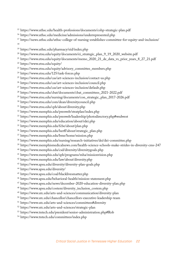15 https://www.uthsc.edu/health-professions/documents/cohp-strategic-plan.pdf

- 16 https://www.uthsc.edu/medicine/admissions/underrepresented.php
- 17 https://news.uthsc.edu/uthsc-college-of-nursing-establishes-committee-for-equity-and-inclusion/ 18
- 19 https://www.uthsc.edu/pharmacy/eid/index.php
- <sup>20</sup> https://www.etsu.edu/equity/documents/ei\_strategic\_plan\_9\_19\_2020\_website.pdf
- <sup>21</sup> https://www.etsu.edu/equity/documents/memo\_2020\_21\_de\_data\_vs\_prior\_years\_8\_27\_21.pdf
- 22 https://www.etsu.edu/equity/
- 23 https://www.etsu.edu/equity/advisory\_committee\_members.php
- 24 https://www.etsu.edu/125/task-forces.php
- 25 https://www.etsu.edu/cas/art-sciences-inclusion/contact-us.php
- 26 https://www.etsu.edu/cas/art-sciences-inclusion/council.php
- 27 https://www.etsu.edu/cas/art-sciences-inclusion/default.php
- 28 https://www.etsu.edu/cbat/documents/cbat\_committees\_2021-2022.pdf
- 29 https://www.etsu.edu/nursing/documents/con\_strategic\_plan\_2017-2026.pdf
- 30 https://www.etsu.edu/com/dean/diversitycouncil.php
- 31 https://www.etsu.edu/cph/about/diversity.php
- 32 https://www.memphis.edu/presweb/stratplan/index.php
- 33 https://www.memphis.edu/presweb/leadership/photodirectory.php#wedwest
- 34 https://www.memphis.edu/education/about/rdei.php
- 35 https://www.memphis.edu/fcbe/about/plan.php
- 36 https://www.memphis.edu/herff/about/strategic\_plan.php
- 37 https://www.memphis.edu/bme/home/mission.php
- 38 https://www.memphis.edu/nursing/research-initiatives/dei/dei-committee.php
- 39 https://www.memphismedicalnews.com/health-science-schools-make-strides-in-diversity-cms-247
- 40 https://www.memphis.edu/csd/diversity/diversitygoals.php
- 41 https://www.memphis.edu/sph/programs/mha/missionvision.php
- 42 https://www.memphis.edu/law/about/diversity.php
- 43 https://www.apsu.edu/diversity/diversity-plan-goals.php
- 44 https://www.apsu.edu/diversity/
- 45 https://www.apsu.edu/coal/blacklivesmatter.php
- 46 https://www.apsu.edu/behavioral-health/mission-statement.php
- 47 https://www.apsu.edu/news/december-2020-education-diversity-plan.php
- 48 https://www.apsu.edu/costem/diversity\_inclusion\_costem.php
- 49 https://www.utc.edu/arts-and-sciences/communication/diversity-plan
- 50 https://www.utc.edu/chancellor/chancellors-executive-leadership-team
- 51 https://www.utc.edu/arts-and-sciences/committees#diversity
- 52 https://www.utc.edu/arts-and-sciences/strategic-plan
- 53 https://www.tntech.edu/president/senior-administration.php#Rob
- 54 https://www.tntech.edu/committees/index.php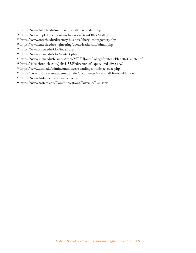- 55 https://www.tntech.edu/multicultural-affairs/mastaff.php
- 56 https://www.depts.ttu.edu/artsandsciences/DeanOffice/staff.php
- 57 https://www.tntech.edu/directory/business/cheryl-montgomery.php
- 58 https://www.tntech.edu/engineering/about/leadership/admin.php
- 59 https://www.mtsu.edu/idac/index.php
- 60 https://www.mtsu.edu/idac/contact.php
- 61 https://www.mtsu.edu/business/docs/MTSUJonesCollegeStrategicPlan2021-2026.pdf
- 62 https://jobs.chronicle.com/job/415385/director-of-equity-and-diversity/
- 63 https://www.utm.edu/admincommittees/standingcommittee\_edac.php
- 64 http://www.tnstate.edu/academic\_affairs/documents/AccessandDiversityPlan.doc
- 65 https://www.tnstate.edu/eeoaa/contact.aspx
- 66 https://www.tnstate.edu/Communications/DiversityPlan.aspx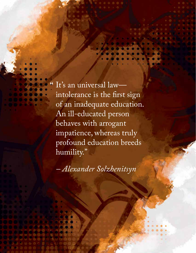It's an universal law intolerance is the first sign of an inadequate education. An ill-educated person behaves with arrogant impatience, whereas truly profound education breeds humility."

. . . .

"

*– Alexander Solzhenitsyn*

*Critical Social Justice in Tennessee Higher Education 24*